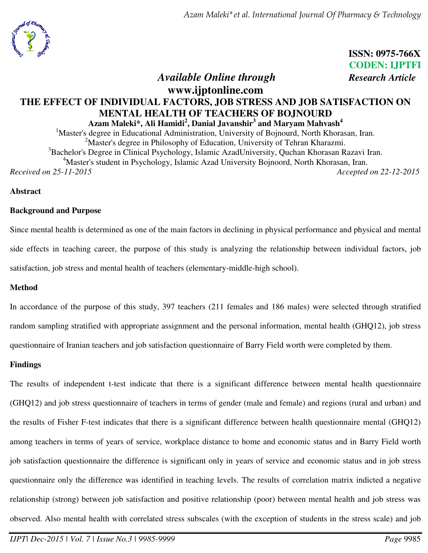

**ISSN: 0975-766X CODEN: IJPTFI** *Available Online through Research Article* 

# **www.ijptonline.com THE EFFECT OF INDIVIDUAL FACTORS, JOB STRESS AND JOB SATISFACTION ON MENTAL HEALTH OF TEACHERS OF BOJNOURD Azam Maleki\*, Ali Hamidi<sup>2</sup> , Danial Javanshir<sup>3</sup> and Maryam Mahvash<sup>4</sup>**

<sup>1</sup>Master's degree in Educational Administration, University of Bojnourd, North Khorasan, Iran. <sup>2</sup>Master's degree in Philosophy of Education, University of Tehran Kharazmi.  $3B$ achelor's Degree in Clinical Psychology, Islamic AzadUniversity, Quchan Khorasan Razavi Iran. <sup>4</sup>Master's student in Psychology, Islamic Azad University Bojnoord, North Khorasan, Iran. *Received on 25-11-2015 Accepted on 22-12-2015*

### **Abstract**

### **Background and Purpose**

Since mental health is determined as one of the main factors in declining in physical performance and physical and mental side effects in teaching career, the purpose of this study is analyzing the relationship between individual factors, job satisfaction, job stress and mental health of teachers (elementary-middle-high school).

### **Method**

In accordance of the purpose of this study, 397 teachers (211 females and 186 males) were selected through stratified random sampling stratified with appropriate assignment and the personal information, mental health (GHQ12), job stress questionnaire of Iranian teachers and job satisfaction questionnaire of Barry Field worth were completed by them.

# **Findings**

The results of independent t-test indicate that there is a significant difference between mental health questionnaire (GHQ12) and job stress questionnaire of teachers in terms of gender (male and female) and regions (rural and urban) and the results of Fisher F-test indicates that there is a significant difference between health questionnaire mental (GHQ12) among teachers in terms of years of service, workplace distance to home and economic status and in Barry Field worth job satisfaction questionnaire the difference is significant only in years of service and economic status and in job stress questionnaire only the difference was identified in teaching levels. The results of correlation matrix indicted a negative relationship (strong) between job satisfaction and positive relationship (poor) between mental health and job stress was observed. Also mental health with correlated stress subscales (with the exception of students in the stress scale) and job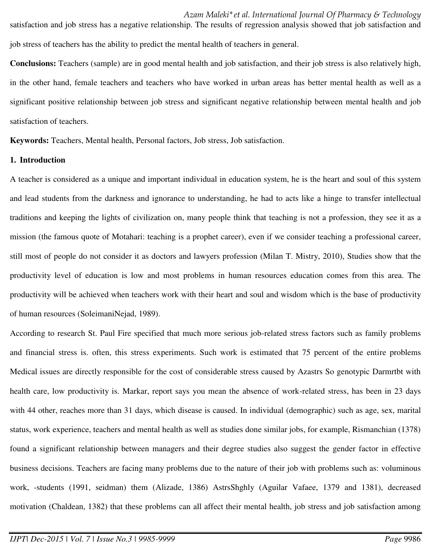satisfaction and job stress has a negative relationship. The results of regression analysis showed that job satisfaction and job stress of teachers has the ability to predict the mental health of teachers in general.

**Conclusions:** Teachers (sample) are in good mental health and job satisfaction, and their job stress is also relatively high, in the other hand, female teachers and teachers who have worked in urban areas has better mental health as well as a significant positive relationship between job stress and significant negative relationship between mental health and job satisfaction of teachers.

**Keywords:** Teachers, Mental health, Personal factors, Job stress, Job satisfaction.

### **1. Introduction**

A teacher is considered as a unique and important individual in education system, he is the heart and soul of this system and lead students from the darkness and ignorance to understanding, he had to acts like a hinge to transfer intellectual traditions and keeping the lights of civilization on, many people think that teaching is not a profession, they see it as a mission (the famous quote of Motahari: teaching is a prophet career), even if we consider teaching a professional career, still most of people do not consider it as doctors and lawyers profession (Milan T. Mistry, 2010), Studies show that the productivity level of education is low and most problems in human resources education comes from this area. The productivity will be achieved when teachers work with their heart and soul and wisdom which is the base of productivity of human resources (SoleimaniNejad, 1989).

According to research St. Paul Fire specified that much more serious job-related stress factors such as family problems and financial stress is. often, this stress experiments. Such work is estimated that 75 percent of the entire problems Medical issues are directly responsible for the cost of considerable stress caused by Azastrs So genotypic Darmrtbt with health care, low productivity is. Markar, report says you mean the absence of work-related stress, has been in 23 days with 44 other, reaches more than 31 days, which disease is caused. In individual (demographic) such as age, sex, marital status, work experience, teachers and mental health as well as studies done similar jobs, for example, Rismanchian (1378) found a significant relationship between managers and their degree studies also suggest the gender factor in effective business decisions. Teachers are facing many problems due to the nature of their job with problems such as: voluminous work, -students (1991, seidman) them (Alizade, 1386) AstrsShghly (Aguilar Vafaee, 1379 and 1381), decreased motivation (Chaldean, 1382) that these problems can all affect their mental health, job stress and job satisfaction among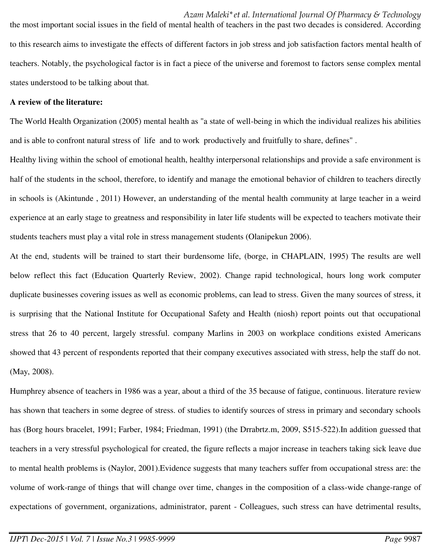*Azam Maleki\*et al. International Journal Of Pharmacy & Technology* the most important social issues in the field of mental health of teachers in the past two decades is considered. According to this research aims to investigate the effects of different factors in job stress and job satisfaction factors mental health of teachers. Notably, the psychological factor is in fact a piece of the universe and foremost to factors sense complex mental states understood to be talking about that*.* 

#### **A review of the literature:**

The World Health Organization (2005) mental health as "a state of well-being in which the individual realizes his abilities and is able to confront natural stress of life and to work productively and fruitfully to share, defines" .

Healthy living within the school of emotional health, healthy interpersonal relationships and provide a safe environment is half of the students in the school, therefore, to identify and manage the emotional behavior of children to teachers directly in schools is (Akintunde , 2011) However, an understanding of the mental health community at large teacher in a weird experience at an early stage to greatness and responsibility in later life students will be expected to teachers motivate their students teachers must play a vital role in stress management students (Olanipekun 2006).

At the end, students will be trained to start their burdensome life, (borge, in CHAPLAIN, 1995) The results are well below reflect this fact (Education Quarterly Review, 2002). Change rapid technological, hours long work computer duplicate businesses covering issues as well as economic problems, can lead to stress. Given the many sources of stress, it is surprising that the National Institute for Occupational Safety and Health (niosh) report points out that occupational stress that 26 to 40 percent, largely stressful. company Marlins in 2003 on workplace conditions existed Americans showed that 43 percent of respondents reported that their company executives associated with stress, help the staff do not. (May, 2008).

Humphrey absence of teachers in 1986 was a year, about a third of the 35 because of fatigue, continuous. literature review has shown that teachers in some degree of stress. of studies to identify sources of stress in primary and secondary schools has (Borg hours bracelet, 1991; Farber, 1984; Friedman, 1991) (the Drrabrtz.m, 2009, S515-522).In addition guessed that teachers in a very stressful psychological for created, the figure reflects a major increase in teachers taking sick leave due to mental health problems is (Naylor, 2001).Evidence suggests that many teachers suffer from occupational stress are: the volume of work-range of things that will change over time, changes in the composition of a class-wide change-range of expectations of government, organizations, administrator, parent - Colleagues, such stress can have detrimental results,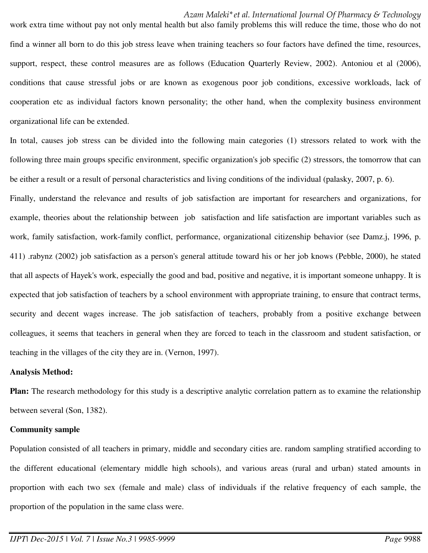### *Azam Maleki\*et al. International Journal Of Pharmacy & Technology*

work extra time without pay not only mental health but also family problems this will reduce the time, those who do not find a winner all born to do this job stress leave when training teachers so four factors have defined the time, resources, support, respect, these control measures are as follows (Education Quarterly Review, 2002). Antoniou et al (2006), conditions that cause stressful jobs or are known as exogenous poor job conditions, excessive workloads, lack of cooperation etc as individual factors known personality; the other hand, when the complexity business environment organizational life can be extended.

In total, causes job stress can be divided into the following main categories (1) stressors related to work with the following three main groups specific environment, specific organization's job specific (2) stressors, the tomorrow that can be either a result or a result of personal characteristics and living conditions of the individual (palasky, 2007, p. 6).

Finally, understand the relevance and results of job satisfaction are important for researchers and organizations, for example, theories about the relationship between job satisfaction and life satisfaction are important variables such as work, family satisfaction, work-family conflict, performance, organizational citizenship behavior (see Damz.j, 1996, p. 411) .rabynz (2002) job satisfaction as a person's general attitude toward his or her job knows (Pebble, 2000), he stated that all aspects of Hayek's work, especially the good and bad, positive and negative, it is important someone unhappy. It is expected that job satisfaction of teachers by a school environment with appropriate training, to ensure that contract terms, security and decent wages increase. The job satisfaction of teachers, probably from a positive exchange between colleagues, it seems that teachers in general when they are forced to teach in the classroom and student satisfaction, or teaching in the villages of the city they are in. (Vernon, 1997).

#### **Analysis Method:**

**Plan:** The research methodology for this study is a descriptive analytic correlation pattern as to examine the relationship between several (Son, 1382).

#### **Community sample**

Population consisted of all teachers in primary, middle and secondary cities are. random sampling stratified according to the different educational (elementary middle high schools), and various areas (rural and urban) stated amounts in proportion with each two sex (female and male) class of individuals if the relative frequency of each sample, the proportion of the population in the same class were.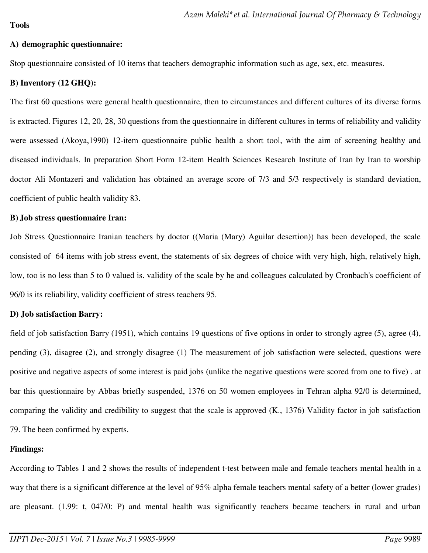#### **A) demographic questionnaire:**

Stop questionnaire consisted of 10 items that teachers demographic information such as age, sex, etc. measures.

### **B) Inventory (12 GHQ):**

The first 60 questions were general health questionnaire, then to circumstances and different cultures of its diverse forms is extracted. Figures 12, 20, 28, 30 questions from the questionnaire in different cultures in terms of reliability and validity were assessed (Akoya,1990) 12-item questionnaire public health a short tool, with the aim of screening healthy and diseased individuals. In preparation Short Form 12-item Health Sciences Research Institute of Iran by Iran to worship doctor Ali Montazeri and validation has obtained an average score of 7/3 and 5/3 respectively is standard deviation, coefficient of public health validity 83.

#### **B) Job stress questionnaire Iran:**

Job Stress Questionnaire Iranian teachers by doctor ((Maria (Mary) Aguilar desertion)) has been developed, the scale consisted of 64 items with job stress event, the statements of six degrees of choice with very high, high, relatively high, low, too is no less than 5 to 0 valued is. validity of the scale by he and colleagues calculated by Cronbach's coefficient of 96/0 is its reliability, validity coefficient of stress teachers 95.

#### **D) Job satisfaction Barry:**

field of job satisfaction Barry (1951), which contains 19 questions of five options in order to strongly agree (5), agree (4), pending (3), disagree (2), and strongly disagree (1) The measurement of job satisfaction were selected, questions were positive and negative aspects of some interest is paid jobs (unlike the negative questions were scored from one to five) . at bar this questionnaire by Abbas briefly suspended, 1376 on 50 women employees in Tehran alpha 92/0 is determined, comparing the validity and credibility to suggest that the scale is approved (K., 1376) Validity factor in job satisfaction 79. The been confirmed by experts.

#### **Findings:**

According to Tables 1 and 2 shows the results of independent t-test between male and female teachers mental health in a way that there is a significant difference at the level of 95% alpha female teachers mental safety of a better (lower grades) are pleasant. (1.99: t, 047/0: P) and mental health was significantly teachers became teachers in rural and urban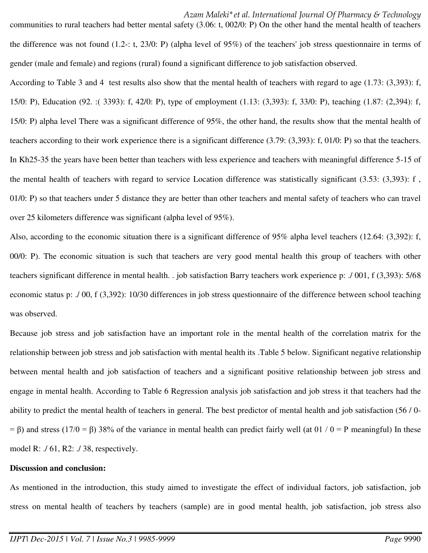*Azam Maleki\*et al. International Journal Of Pharmacy & Technology*

communities to rural teachers had better mental safety (3.06: t, 002/0: P) On the other hand the mental health of teachers the difference was not found (1.2-: t, 23/0: P) (alpha level of 95%) of the teachers' job stress questionnaire in terms of gender (male and female) and regions (rural) found a significant difference to job satisfaction observed.

According to Table 3 and 4 test results also show that the mental health of teachers with regard to age (1.73: (3,393): f, 15/0: P), Education (92. :( 3393): f, 42/0: P), type of employment (1.13: (3,393): f, 33/0: P), teaching (1.87: (2,394): f, 15/0: P) alpha level There was a significant difference of 95%, the other hand, the results show that the mental health of teachers according to their work experience there is a significant difference (3.79: (3,393): f, 01/0: P) so that the teachers. In Kh25-35 the years have been better than teachers with less experience and teachers with meaningful difference 5-15 of the mental health of teachers with regard to service Location difference was statistically significant (3.53: (3,393): f , 01/0: P) so that teachers under 5 distance they are better than other teachers and mental safety of teachers who can travel over 25 kilometers difference was significant (alpha level of 95%).

Also, according to the economic situation there is a significant difference of 95% alpha level teachers (12.64: (3,392): f, 00/0: P). The economic situation is such that teachers are very good mental health this group of teachers with other teachers significant difference in mental health. . job satisfaction Barry teachers work experience p: ./ 001, f (3,393): 5/68 economic status p: ./ 00, f (3,392): 10/30 differences in job stress questionnaire of the difference between school teaching was observed.

Because job stress and job satisfaction have an important role in the mental health of the correlation matrix for the relationship between job stress and job satisfaction with mental health its .Table 5 below. Significant negative relationship between mental health and job satisfaction of teachers and a significant positive relationship between job stress and engage in mental health. According to Table 6 Regression analysis job satisfaction and job stress it that teachers had the ability to predict the mental health of teachers in general. The best predictor of mental health and job satisfaction (56 / 0-  $= \beta$ ) and stress (17/0 =  $\beta$ ) 38% of the variance in mental health can predict fairly well (at 01 / 0 = P meaningful) In these model R: ./ 61, R2: ./ 38, respectively.

#### **Discussion and conclusion:**

As mentioned in the introduction, this study aimed to investigate the effect of individual factors, job satisfaction, job stress on mental health of teachers by teachers (sample) are in good mental health, job satisfaction, job stress also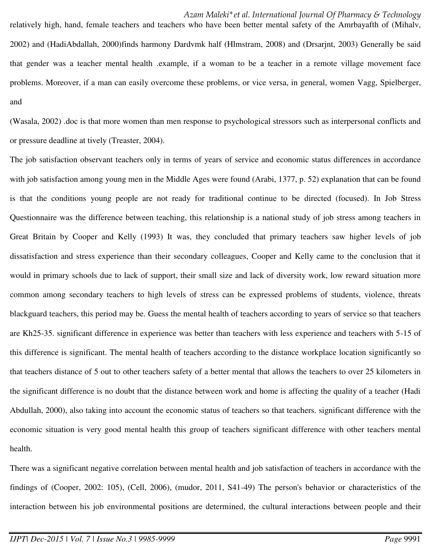#### *Azam Maleki\*et al. International Journal Of Pharmacy & Technology*

relatively high, hand, female teachers and teachers who have been better mental safety of the Amrbayafth of (Mihalv, 2002) and (HadiAbdallah, 2000)finds harmony Dardvmk half (Hlmstram, 2008) and (Drsarjnt, 2003) Generally be said that gender was a teacher mental health .example, if a woman to be a teacher in a remote village movement face problems. Moreover, if a man can easily overcome these problems, or vice versa, in general, women Vagg, Spielberger, and

(Wasala, 2002) .doc is that more women than men response to psychological stressors such as interpersonal conflicts and or pressure deadline at tively (Treaster, 2004).

The job satisfaction observant teachers only in terms of years of service and economic status differences in accordance with job satisfaction among young men in the Middle Ages were found (Arabi, 1377, p. 52) explanation that can be found is that the conditions young people are not ready for traditional continue to be directed (focused). In Job Stress Questionnaire was the difference between teaching, this relationship is a national study of job stress among teachers in Great Britain by Cooper and Kelly (1993) It was, they concluded that primary teachers saw higher levels of job dissatisfaction and stress experience than their secondary colleagues, Cooper and Kelly came to the conclusion that it would in primary schools due to lack of support, their small size and lack of diversity work, low reward situation more common among secondary teachers to high levels of stress can be expressed problems of students, violence, threats blackguard teachers, this period may be. Guess the mental health of teachers according to years of service so that teachers are Kh25-35. significant difference in experience was better than teachers with less experience and teachers with 5-15 of this difference is significant. The mental health of teachers according to the distance workplace location significantly so that teachers distance of 5 out to other teachers safety of a better mental that allows the teachers to over 25 kilometers in the significant difference is no doubt that the distance between work and home is affecting the quality of a teacher (Hadi Abdullah, 2000), also taking into account the economic status of teachers so that teachers. significant difference with the economic situation is very good mental health this group of teachers significant difference with other teachers mental health.

There was a significant negative correlation between mental health and job satisfaction of teachers in accordance with the findings of (Cooper, 2002: 105), (Cell, 2006), (mudor, 2011, S41-49) The person's behavior or characteristics of the interaction between his job environmental positions are determined, the cultural interactions between people and their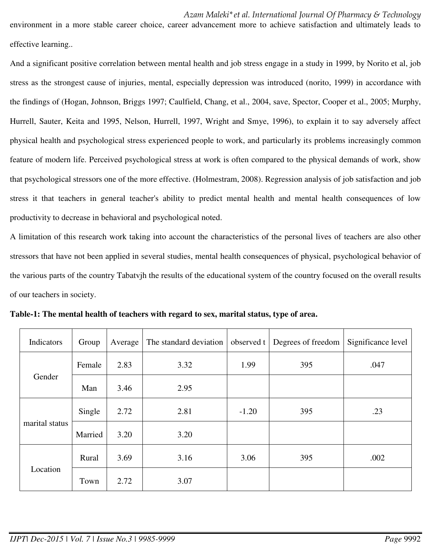environment in a more stable career choice, career advancement more to achieve satisfaction and ultimately leads to effective learning..

And a significant positive correlation between mental health and job stress engage in a study in 1999, by Norito et al, job stress as the strongest cause of injuries, mental, especially depression was introduced (norito, 1999) in accordance with the findings of (Hogan, Johnson, Briggs 1997; Caulfield, Chang, et al., 2004, save, Spector, Cooper et al., 2005; Murphy, Hurrell, Sauter, Keita and 1995, Nelson, Hurrell, 1997, Wright and Smye, 1996), to explain it to say adversely affect physical health and psychological stress experienced people to work, and particularly its problems increasingly common feature of modern life. Perceived psychological stress at work is often compared to the physical demands of work, show that psychological stressors one of the more effective. (Holmestram, 2008). Regression analysis of job satisfaction and job stress it that teachers in general teacher's ability to predict mental health and mental health consequences of low productivity to decrease in behavioral and psychological noted.

A limitation of this research work taking into account the characteristics of the personal lives of teachers are also other stressors that have not been applied in several studies, mental health consequences of physical, psychological behavior of the various parts of the country Tabatvjh the results of the educational system of the country focused on the overall results of our teachers in society.

| Indicators     | Group   | Average | The standard deviation | observed t | Degrees of freedom | Significance level |
|----------------|---------|---------|------------------------|------------|--------------------|--------------------|
|                | Female  | 2.83    | 3.32                   | 1.99       | 395                | .047               |
| Gender         | Man     | 3.46    | 2.95                   |            |                    |                    |
|                | Single  | 2.72    | 2.81                   | $-1.20$    | 395                | .23                |
| marital status | Married | 3.20    | 3.20                   |            |                    |                    |
|                | Rural   | 3.69    | 3.16                   | 3.06       | 395                | .002               |
| Location       | Town    | 2.72    | 3.07                   |            |                    |                    |

**Table-1: The mental health of teachers with regard to sex, marital status, type of area.**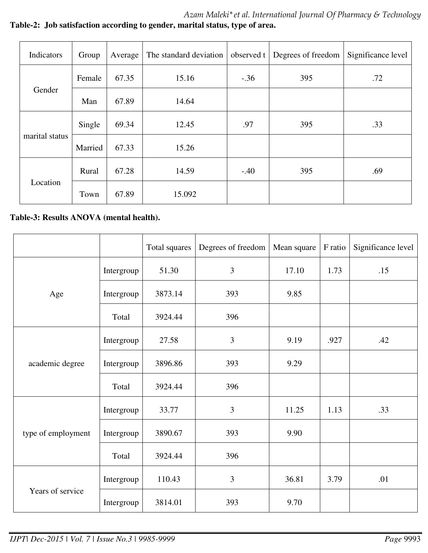*Azam Maleki\*et al. International Journal Of Pharmacy & Technology*

| Indicators     | Group   | Average | The standard deviation | observed $t$ | Degrees of freedom | Significance level |
|----------------|---------|---------|------------------------|--------------|--------------------|--------------------|
|                | Female  | 67.35   | 15.16                  | $-.36$       | 395                | .72                |
| Gender         | Man     | 67.89   | 14.64                  |              |                    |                    |
|                | Single  | 69.34   | 12.45                  | .97          | 395                | .33                |
| marital status | Married | 67.33   | 15.26                  |              |                    |                    |
|                | Rural   | 67.28   | 14.59                  | $-.40$       | 395                | .69                |
| Location       | Town    | 67.89   | 15.092                 |              |                    |                    |

**Table-2: Job satisfaction according to gender, marital status, type of area.** 

# **Table-3: Results ANOVA (mental health).**

|                    |            | Total squares | Degrees of freedom | Mean square | F ratio | Significance level |
|--------------------|------------|---------------|--------------------|-------------|---------|--------------------|
|                    | Intergroup | 51.30         | 3                  | 17.10       | 1.73    | .15                |
| Age                | Intergroup | 3873.14       | 393                | 9.85        |         |                    |
|                    | Total      | 3924.44       | 396                |             |         |                    |
|                    | Intergroup | 27.58         | $\mathfrak{Z}$     | 9.19        | .927    | .42                |
| academic degree    | Intergroup | 3896.86       | 393                | 9.29        |         |                    |
|                    | Total      | 3924.44       | 396                |             |         |                    |
|                    | Intergroup | 33.77         | $\mathfrak{Z}$     | 11.25       | 1.13    | .33                |
| type of employment | Intergroup | 3890.67       | 393                | 9.90        |         |                    |
|                    | Total      | 3924.44       | 396                |             |         |                    |
|                    | Intergroup | 110.43        | 3                  | 36.81       | 3.79    | .01                |
| Years of service   | Intergroup | 3814.01       | 393                | 9.70        |         |                    |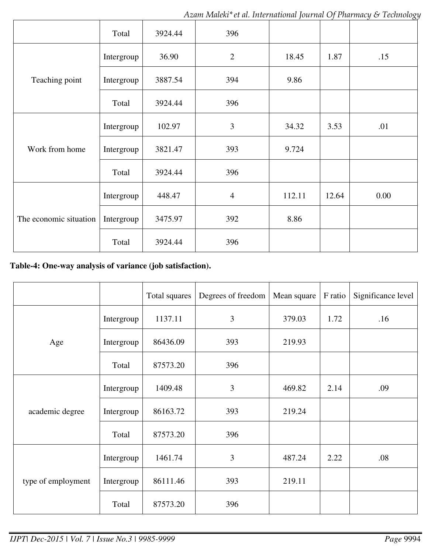*Azam Maleki\*et al. International Journal Of Pharmacy & Technology*

|                        | Total      | 3924.44 | 396            |        |       |      |
|------------------------|------------|---------|----------------|--------|-------|------|
|                        | Intergroup | 36.90   | $\overline{2}$ | 18.45  | 1.87  | .15  |
| Teaching point         | Intergroup | 3887.54 | 394            | 9.86   |       |      |
|                        | Total      | 3924.44 | 396            |        |       |      |
|                        | Intergroup | 102.97  | 3              | 34.32  | 3.53  | .01  |
| Work from home         | Intergroup | 3821.47 | 393            | 9.724  |       |      |
|                        | Total      | 3924.44 | 396            |        |       |      |
|                        | Intergroup | 448.47  | $\overline{4}$ | 112.11 | 12.64 | 0.00 |
| The economic situation | Intergroup | 3475.97 | 392            | 8.86   |       |      |
|                        | Total      | 3924.44 | 396            |        |       |      |

# **Table-4: One-way analysis of variance (job satisfaction).**

|                    |            | Total squares | Degrees of freedom | Mean square | F ratio | Significance level |
|--------------------|------------|---------------|--------------------|-------------|---------|--------------------|
|                    | Intergroup | 1137.11       | 3                  | 379.03      | 1.72    | .16                |
| Age                | Intergroup | 86436.09      | 393                | 219.93      |         |                    |
|                    | Total      | 87573.20      | 396                |             |         |                    |
|                    | Intergroup | 1409.48       | 3                  | 469.82      | 2.14    | .09                |
| academic degree    | Intergroup | 86163.72      | 393                | 219.24      |         |                    |
|                    | Total      | 87573.20      | 396                |             |         |                    |
|                    | Intergroup | 1461.74       | 3                  | 487.24      | 2.22    | .08                |
| type of employment | Intergroup | 86111.46      | 393                | 219.11      |         |                    |
|                    | Total      | 87573.20      | 396                |             |         |                    |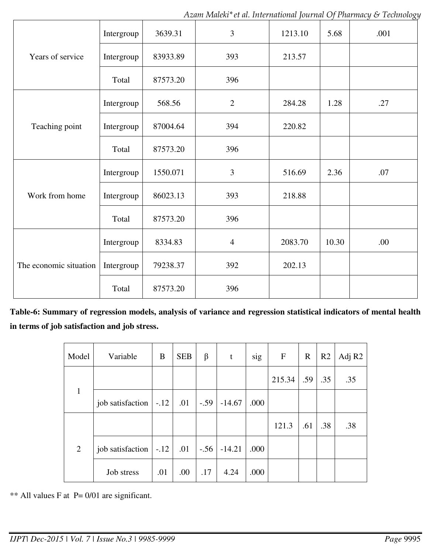*Azam Maleki\*et al. International Journal Of Pharmacy & Technology*

|                        | Intergroup | 3639.31  | 3              | 1213.10 | 5.68  | .001 |
|------------------------|------------|----------|----------------|---------|-------|------|
| Years of service       | Intergroup | 83933.89 | 393            | 213.57  |       |      |
|                        | Total      | 87573.20 | 396            |         |       |      |
|                        | Intergroup | 568.56   | $\overline{2}$ | 284.28  | 1.28  | .27  |
| Teaching point         | Intergroup | 87004.64 | 394            | 220.82  |       |      |
|                        | Total      | 87573.20 | 396            |         |       |      |
|                        | Intergroup | 1550.071 | 3              | 516.69  | 2.36  | .07  |
| Work from home         | Intergroup | 86023.13 | 393            | 218.88  |       |      |
|                        | Total      | 87573.20 | 396            |         |       |      |
|                        | Intergroup | 8334.83  | $\overline{4}$ | 2083.70 | 10.30 | .00  |
| The economic situation | Intergroup | 79238.37 | 392            | 202.13  |       |      |
|                        | Total      | 87573.20 | 396            |         |       |      |

**Table-6: Summary of regression models, analysis of variance and regression statistical indicators of mental health in terms of job satisfaction and job stress.** 

| Model          | Variable                      | B      | <b>SEB</b> | β      | $\mathbf t$   | sig  | $\mathbf{F}$ | $\mathbf R$ | R <sub>2</sub> | Adj R <sub>2</sub> |
|----------------|-------------------------------|--------|------------|--------|---------------|------|--------------|-------------|----------------|--------------------|
|                |                               |        |            |        |               |      | 215.34       | .59         | .35            | .35                |
| $\mathbf{1}$   | job satisfaction $\vert$ -.12 |        | .01        | $-.59$ | $-14.67$      | .000 |              |             |                |                    |
|                |                               |        |            |        |               |      | 121.3        | .61         | .38            | .38                |
| $\overline{2}$ | job satisfaction              | $-.12$ | .01        |        | $-.56$ -14.21 | .000 |              |             |                |                    |
|                | Job stress                    | .01    | .00        | .17    | 4.24          | .000 |              |             |                |                    |

\*\* All values F at P= 0/01 are significant.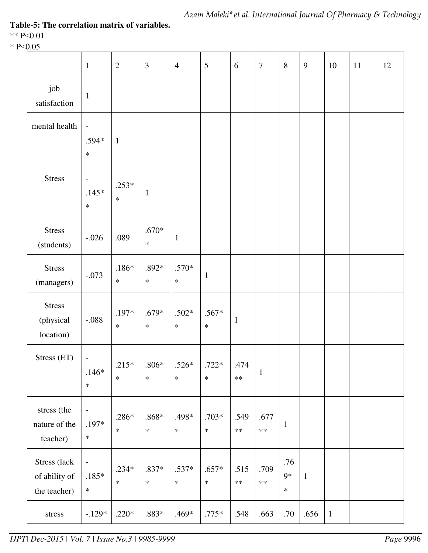## **Table-5: The correlation matrix of variables.**

\*\* P<0.01

 $* P< 0.05$ 

|                                               | $\mathbf{1}$                                  | $\mathbf{2}$      | $\mathfrak{Z}$    | $\overline{4}$    | 5                 | 6                  | $\overline{7}$     | $8\,$                 | 9            | 10           | 11 | 12 |
|-----------------------------------------------|-----------------------------------------------|-------------------|-------------------|-------------------|-------------------|--------------------|--------------------|-----------------------|--------------|--------------|----|----|
| job<br>satisfaction                           | $\mathbf{1}$                                  |                   |                   |                   |                   |                    |                    |                       |              |              |    |    |
| mental health                                 | $\overline{\phantom{a}}$<br>.594*<br>$\ast$   | $\mathbf{1}$      |                   |                   |                   |                    |                    |                       |              |              |    |    |
| <b>Stress</b>                                 | $\overline{\phantom{a}}$<br>$.145*$<br>$\ast$ | $.253*$<br>$\ast$ | $\mathbf{1}$      |                   |                   |                    |                    |                       |              |              |    |    |
| <b>Stress</b><br>(students)                   | $-.026$                                       | .089              | $.670*$<br>$\ast$ | $\mathbf{1}$      |                   |                    |                    |                       |              |              |    |    |
| <b>Stress</b><br>(managers)                   | $-.073$                                       | $.186*$<br>$\ast$ | $.892*$<br>$\ast$ | $.570*$<br>$\ast$ | $\mathbf{1}$      |                    |                    |                       |              |              |    |    |
| <b>Stress</b><br>(physical<br>location)       | $-.088$                                       | $.197*$<br>$\ast$ | $.679*$<br>$\ast$ | $.502*$<br>$\ast$ | $.567*$<br>$\ast$ | $\mathbf{1}$       |                    |                       |              |              |    |    |
| Stress (ET)                                   | $\overline{\phantom{a}}$<br>$.146*$<br>$\ast$ | $.215*$<br>$\ast$ | $.806*$<br>$\ast$ | $.526*$<br>$\ast$ | $.722*$<br>$\ast$ | .474<br>$\ast\ast$ | $\mathbf{1}$       |                       |              |              |    |    |
| stress (the<br>nature of the<br>teacher)      | $\overline{\phantom{a}}$<br>$.197*$<br>$\ast$ | $.286*$<br>$\ast$ | $.868*$<br>$\ast$ | .498*<br>$\ast$   | $.703*$<br>$\ast$ | .549<br>$\ast\ast$ | .677<br>$\ast\ast$ | $\,1$                 |              |              |    |    |
| Stress (lack<br>of ability of<br>the teacher) | $\blacksquare$<br>$.185*$<br>$\ast$           | $.234*$<br>$\ast$ | $.837*$<br>$\ast$ | $.537*$<br>$\ast$ | $.657*$<br>$\ast$ | .515<br>$\ast\ast$ | .709<br>$\ast\ast$ | .76<br>$9*$<br>$\ast$ | $\mathbf{1}$ |              |    |    |
| stress                                        | $-.129*$                                      | $.220*$           | .883*             | $.469*$           | $.775*$           | .548               | .663               | .70                   | .656         | $\mathbf{1}$ |    |    |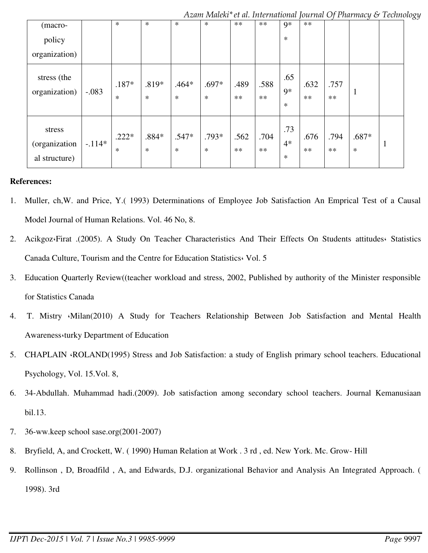| (macro-<br>policy                        |          | $\ast$            | $\ast$            | $\ast$            | $\ast$            | **           | $**$         | $9*$<br>$\ast$        | $**$         |              |                   |              |
|------------------------------------------|----------|-------------------|-------------------|-------------------|-------------------|--------------|--------------|-----------------------|--------------|--------------|-------------------|--------------|
| organization)                            |          |                   |                   |                   |                   |              |              |                       |              |              |                   |              |
| stress (the<br>organization)             | $-.083$  | $.187*$<br>$\ast$ | $.819*$<br>$\ast$ | $.464*$<br>$\ast$ | .697*<br>$\ast$   | .489<br>$**$ | .588<br>$**$ | .65<br>$9*$<br>$\ast$ | .632<br>$**$ | .757<br>$**$ |                   |              |
| stress<br>(organization<br>al structure) | $-.114*$ | $.222*$<br>$\ast$ | $.884*$<br>$\ast$ | $.547*$<br>$\ast$ | $.793*$<br>$\ast$ | .562<br>$**$ | .704<br>$**$ | .73<br>$4*$<br>$\ast$ | .676<br>$**$ | .794<br>$**$ | $.687*$<br>$\ast$ | $\mathbf{1}$ |

### **References:**

- 1. Muller, ch,W. and Price, Y.( 1993) Determinations of Employee Job Satisfaction An Emprical Test of a Causal Model Journal of Human Relations. Vol. 46 No, 8.
- 2. Acikgoz«Firat . (2005). A Study On Teacher Characteristics And Their Effects On Students attitudes« Statistics Canada Culture, Tourism and the Centre for Education Statistics، Vol. 5
- 3. Education Quarterly Review((teacher workload and stress, 2002, Published by authority of the Minister responsible for Statistics Canada
- 4. T. Mistry ، Milan(2010) A Study for Teachers Relationship Between Job Satisfaction and Mental Health Awareness،turky Department of Education
- 5. CHAPLAIN ، ROLAND(1995) Stress and Job Satisfaction: a study of English primary school teachers. Educational Psychology, Vol. 15.Vol. 8,
- 6. 34-Abdullah. Muhammad hadi.(2009). Job satisfaction among secondary school teachers. Journal Kemanusiaan bil.13.
- 7. 36-ww.keep school sase.org(2001-2007)
- 8. Bryfield, A, and Crockett, W. ( 1990) Human Relation at Work . 3 rd , ed. New York. Mc. Grow- Hill
- 9. Rollinson , D, Broadfild , A, and Edwards, D.J. organizational Behavior and Analysis An Integrated Approach. ( 1998). 3rd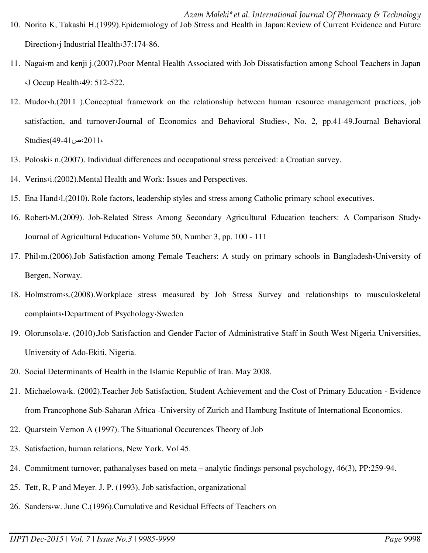- *Azam Maleki\*et al. International Journal Of Pharmacy & Technology* 10. Norito K, Takashi H.(1999).Epidemiology of Job Stress and Health in Japan:Review of Current Evidence and Future Direction i Industrial Health 37:174-86.
- 11. Nagai،m and kenji j.(2007).Poor Mental Health Associated with Job Dissatisfaction among School Teachers in Japan ،J Occup Health،49: 512-522.
- 12. Mudor،h.(2011 ).Conceptual framework on the relationship between human resource management practices, job satisfaction, and turnover،Journal of Economics and Behavioral Studies،, No. 2, pp.41-49.Journal Behavioral ،2011،ص (41-49 Studies
- 13. Poloski، n.(2007). Individual differences and occupational stress perceived: a Croatian survey.
- 14. Verins $\cdot$ i.(2002).Mental Health and Work: Issues and Perspectives.
- 15. Ena Hand $\cdot$ l.(2010). Role factors, leadership styles and stress among Catholic primary school executives.
- 16. Robert،M.(2009). Job-Related Stress Among Secondary Agricultural Education teachers: A Comparison Study، Journal of Agricultural Education، Volume 50, Number 3, pp. 100 - 111
- 17. Phil،m.(2006).Job Satisfaction among Female Teachers: A study on primary schools in Bangladesh،University of Bergen, Norway.
- 18. Holmstrom،s.(2008).Workplace stress measured by Job Stress Survey and relationships to musculoskeletal complaints،Department of Psychology،Sweden
- 19. Olorunsola«e. (2010).Job Satisfaction and Gender Factor of Administrative Staff in South West Nigeria Universities, University of Ado-Ekiti, Nigeria.
- 20. Social Determinants of Health in the Islamic Republic of Iran. May 2008.
- 21. Michaelowa،k. (2002).Teacher Job Satisfaction, Student Achievement and the Cost of Primary Education Evidence from Francophone Sub-Saharan Africa -University of Zurich and Hamburg Institute of International Economics.
- 22. Quarstein Vernon A (1997). The Situational Occurences Theory of Job
- 23. Satisfaction, human relations, New York. Vol 45.
- 24. Commitment turnover, pathanalyses based on meta analytic findings personal psychology, 46(3), PP:259-94.
- 25. Tett, R, P and Meyer. J. P. (1993). Job satisfaction, organizational
- 26. Sanders $\cdot$ w. June C.(1996). Cumulative and Residual Effects of Teachers on